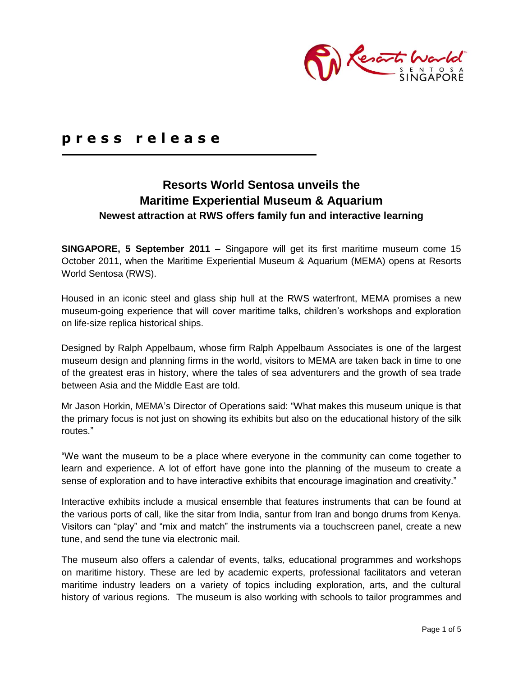

# **p r e s s r e l e a s e**

## **Resorts World Sentosa unveils the Maritime Experiential Museum & Aquarium Newest attraction at RWS offers family fun and interactive learning**

**SINGAPORE, 5 September 2011 –** Singapore will get its first maritime museum come 15 October 2011, when the Maritime Experiential Museum & Aquarium (MEMA) opens at Resorts World Sentosa (RWS).

Housed in an iconic steel and glass ship hull at the RWS waterfront, MEMA promises a new museum-going experience that will cover maritime talks, children"s workshops and exploration on life-size replica historical ships.

Designed by Ralph Appelbaum, whose firm Ralph Appelbaum Associates is one of the largest museum design and planning firms in the world, visitors to MEMA are taken back in time to one of the greatest eras in history, where the tales of sea adventurers and the growth of sea trade between Asia and the Middle East are told.

Mr Jason Horkin, MEMA"s Director of Operations said: "What makes this museum unique is that the primary focus is not just on showing its exhibits but also on the educational history of the silk routes."

"We want the museum to be a place where everyone in the community can come together to learn and experience. A lot of effort have gone into the planning of the museum to create a sense of exploration and to have interactive exhibits that encourage imagination and creativity."

Interactive exhibits include a musical ensemble that features instruments that can be found at the various ports of call, like the sitar from India, santur from Iran and bongo drums from Kenya. Visitors can "play" and "mix and match" the instruments via a touchscreen panel, create a new tune, and send the tune via electronic mail.

The museum also offers a calendar of events, talks, educational programmes and workshops on maritime history. These are led by academic experts, professional facilitators and veteran maritime industry leaders on a variety of topics including exploration, arts, and the cultural history of various regions. The museum is also working with schools to tailor programmes and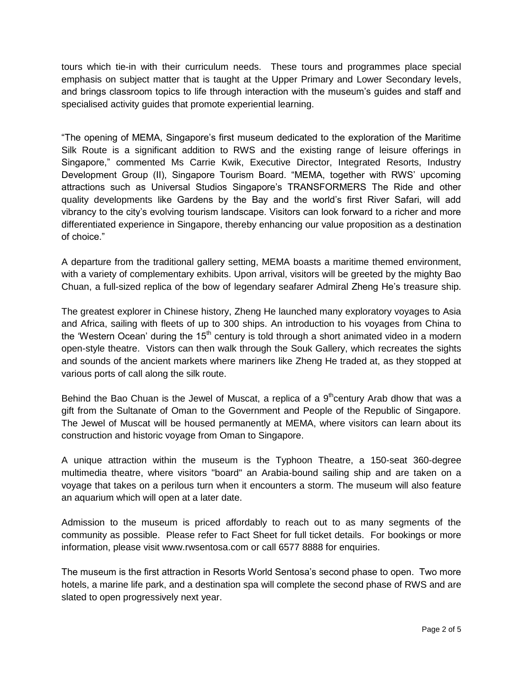tours which tie-in with their curriculum needs. These tours and programmes place special emphasis on subject matter that is taught at the Upper Primary and Lower Secondary levels, and brings classroom topics to life through interaction with the museum"s guides and staff and specialised activity guides that promote experiential learning.

"The opening of MEMA, Singapore"s first museum dedicated to the exploration of the Maritime Silk Route is a significant addition to RWS and the existing range of leisure offerings in Singapore," commented Ms Carrie Kwik, Executive Director, Integrated Resorts, Industry Development Group (II), Singapore Tourism Board. "MEMA, together with RWS" upcoming attractions such as Universal Studios Singapore"s TRANSFORMERS The Ride and other quality developments like Gardens by the Bay and the world"s first River Safari, will add vibrancy to the city"s evolving tourism landscape. Visitors can look forward to a richer and more differentiated experience in Singapore, thereby enhancing our value proposition as a destination of choice."

A departure from the traditional gallery setting, MEMA boasts a maritime themed environment, with a variety of complementary exhibits. Upon arrival, visitors will be greeted by the mighty Bao Chuan, a full-sized replica of the bow of legendary seafarer Admiral Zheng He"s treasure ship.

The greatest explorer in Chinese history, Zheng He launched many exploratory voyages to Asia and Africa, sailing with fleets of up to 300 ships. An introduction to his voyages from China to the 'Western Ocean' during the  $15<sup>th</sup>$  century is told through a short animated video in a modern open-style theatre. Vistors can then walk through the Souk Gallery, which recreates the sights and sounds of the ancient markets where mariners like Zheng He traded at, as they stopped at various ports of call along the silk route.

Behind the Bao Chuan is the Jewel of Muscat, a replica of a  $9<sup>th</sup>$ century Arab dhow that was a gift from the Sultanate of Oman to the Government and People of the Republic of Singapore. The Jewel of Muscat will be housed permanently at MEMA, where visitors can learn about its construction and historic voyage from Oman to Singapore.

A unique attraction within the museum is the Typhoon Theatre, a 150-seat 360-degree multimedia theatre, where visitors "board" an Arabia-bound sailing ship and are taken on a voyage that takes on a perilous turn when it encounters a storm. The museum will also feature an aquarium which will open at a later date.

Admission to the museum is priced affordably to reach out to as many segments of the community as possible. Please refer to Fact Sheet for full ticket details. For bookings or more information, please visit [www.rwsentosa.com](http://www.rwsentosa.com/) or call 6577 8888 for enquiries.

The museum is the first attraction in Resorts World Sentosa"s second phase to open. Two more hotels, a marine life park, and a destination spa will complete the second phase of RWS and are slated to open progressively next year.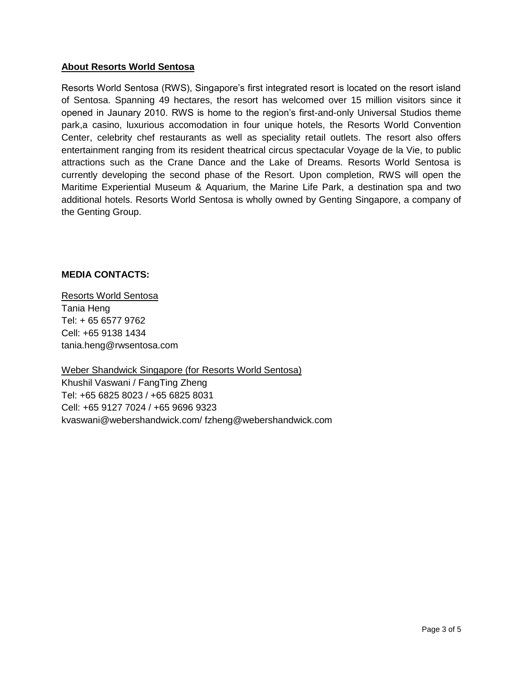### **About Resorts World Sentosa**

Resorts World Sentosa (RWS), Singapore"s first integrated resort is located on the resort island of Sentosa. Spanning 49 hectares, the resort has welcomed over 15 million visitors since it opened in Jaunary 2010. RWS is home to the region's first-and-only Universal Studios theme park,a casino, luxurious accomodation in four unique hotels, the Resorts World Convention Center, celebrity chef restaurants as well as speciality retail outlets. The resort also offers entertainment ranging from its resident theatrical circus spectacular Voyage de la Vie, to public attractions such as the Crane Dance and the Lake of Dreams. Resorts World Sentosa is currently developing the second phase of the Resort. Upon completion, RWS will open the Maritime Experiential Museum & Aquarium, the Marine Life Park, a destination spa and two additional hotels. Resorts World Sentosa is wholly owned by Genting Singapore, a company of the Genting Group.

### **MEDIA CONTACTS:**

Resorts World Sentosa Tania Heng Tel: + 65 6577 9762 Cell: +65 9138 1434 tania.heng@rwsentosa.com

Weber Shandwick Singapore (for Resorts World Sentosa) Khushil Vaswani / FangTing Zheng Tel: +65 6825 8023 / +65 6825 8031 Cell: +65 9127 7024 / +65 9696 9323 kvaswani@webershandwick.com/ fzheng@webershandwick.com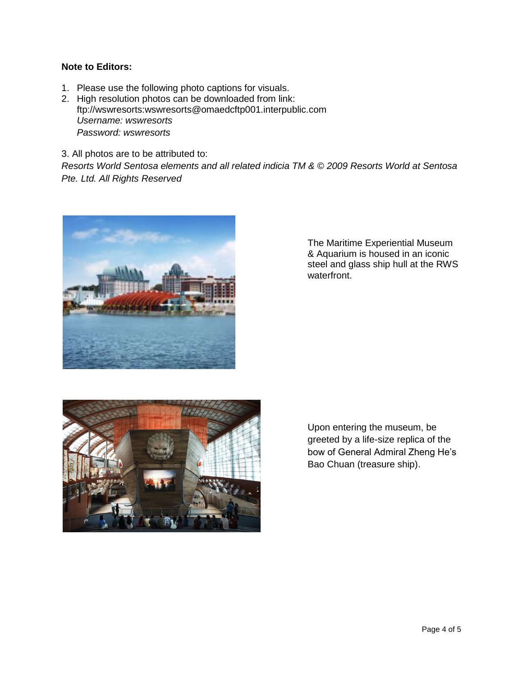#### **Note to Editors:**

- 1. Please use the following photo captions for visuals.
- 2. High resolution photos can be downloaded from link: [ftp://wswresorts:wswresorts@omaedcftp001.interpublic.com](ftp://wswresorts:wswresorts@omaedcftp001.interpublic.com/) *Username: wswresorts Password: wswresorts*
- 3. All photos are to be attributed to:

*Resorts World Sentosa elements and all related indicia TM & © 2009 Resorts World at Sentosa Pte. Ltd. All Rights Reserved* 



The Maritime Experiential Museum & Aquarium is housed in an iconic steel and glass ship hull at the RWS waterfront.



Upon entering the museum, be greeted by a life-size replica of the bow of General Admiral Zheng He"s Bao Chuan (treasure ship).